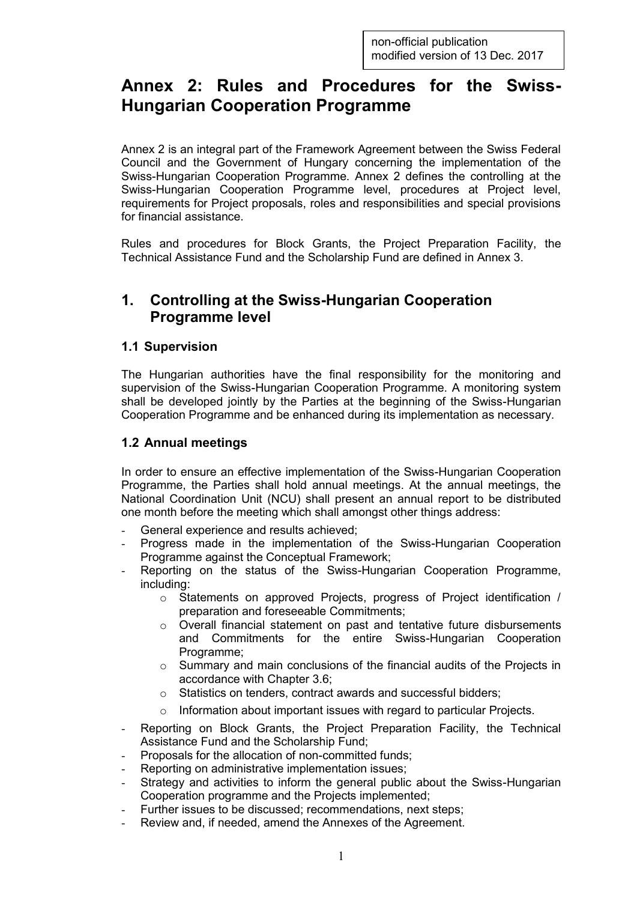# **Annex 2: Rules and Procedures for the Swiss-Hungarian Cooperation Programme**

Annex 2 is an integral part of the Framework Agreement between the Swiss Federal Council and the Government of Hungary concerning the implementation of the Swiss-Hungarian Cooperation Programme. Annex 2 defines the controlling at the Swiss-Hungarian Cooperation Programme level, procedures at Project level, requirements for Project proposals, roles and responsibilities and special provisions for financial assistance.

Rules and procedures for Block Grants, the Project Preparation Facility, the Technical Assistance Fund and the Scholarship Fund are defined in Annex 3.

### **1. Controlling at the Swiss-Hungarian Cooperation Programme level**

### **1.1 Supervision**

The Hungarian authorities have the final responsibility for the monitoring and supervision of the Swiss-Hungarian Cooperation Programme. A monitoring system shall be developed jointly by the Parties at the beginning of the Swiss-Hungarian Cooperation Programme and be enhanced during its implementation as necessary.

### **1.2 Annual meetings**

In order to ensure an effective implementation of the Swiss-Hungarian Cooperation Programme, the Parties shall hold annual meetings. At the annual meetings, the National Coordination Unit (NCU) shall present an annual report to be distributed one month before the meeting which shall amongst other things address:

- General experience and results achieved;
- Progress made in the implementation of the Swiss-Hungarian Cooperation Programme against the Conceptual Framework;
- Reporting on the status of the Swiss-Hungarian Cooperation Programme, including:
	- o Statements on approved Projects, progress of Project identification / preparation and foreseeable Commitments;
	- $\circ$  Overall financial statement on past and tentative future disbursements and Commitments for the entire Swiss-Hungarian Cooperation Programme;
	- $\circ$  Summary and main conclusions of the financial audits of the Projects in accordance with Chapter 3.6;
	- o Statistics on tenders, contract awards and successful bidders;
	- o Information about important issues with regard to particular Projects.
- Reporting on Block Grants, the Project Preparation Facility, the Technical Assistance Fund and the Scholarship Fund;
- Proposals for the allocation of non-committed funds;
- Reporting on administrative implementation issues;
- Strategy and activities to inform the general public about the Swiss-Hungarian Cooperation programme and the Projects implemented;
- Further issues to be discussed; recommendations, next steps;
- Review and, if needed, amend the Annexes of the Agreement.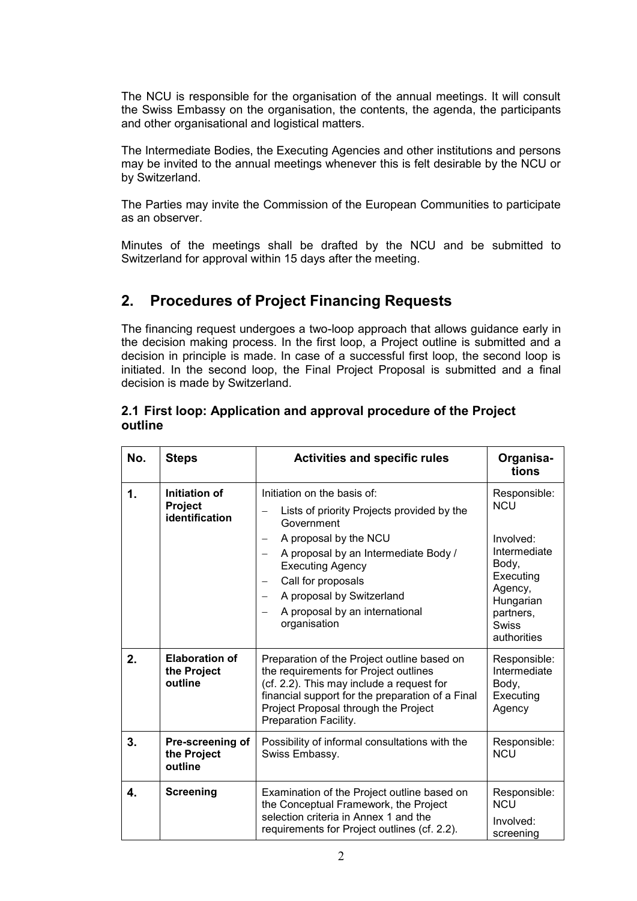The NCU is responsible for the organisation of the annual meetings. It will consult the Swiss Embassy on the organisation, the contents, the agenda, the participants and other organisational and logistical matters.

The Intermediate Bodies, the Executing Agencies and other institutions and persons may be invited to the annual meetings whenever this is felt desirable by the NCU or by Switzerland.

The Parties may invite the Commission of the European Communities to participate as an observer.

Minutes of the meetings shall be drafted by the NCU and be submitted to Switzerland for approval within 15 days after the meeting.

## **2. Procedures of Project Financing Requests**

The financing request undergoes a two-loop approach that allows guidance early in the decision making process. In the first loop, a Project outline is submitted and a decision in principle is made. In case of a successful first loop, the second loop is initiated. In the second loop, the Final Project Proposal is submitted and a final decision is made by Switzerland.

#### **2.1 First loop: Application and approval procedure of the Project outline**

| No.           | <b>Steps</b>                                      | <b>Activities and specific rules</b>                                                                                                                                                                                                                                                                                                                                  | Organisa-<br>tions                                                                                                                                |
|---------------|---------------------------------------------------|-----------------------------------------------------------------------------------------------------------------------------------------------------------------------------------------------------------------------------------------------------------------------------------------------------------------------------------------------------------------------|---------------------------------------------------------------------------------------------------------------------------------------------------|
| $\mathbf 1$ . | Initiation of<br><b>Project</b><br>identification | Initiation on the basis of:<br>Lists of priority Projects provided by the<br>Government<br>A proposal by the NCU<br>$\overline{\phantom{0}}$<br>A proposal by an Intermediate Body /<br>$\qquad \qquad -$<br><b>Executing Agency</b><br>Call for proposals<br>A proposal by Switzerland<br>$\overline{\phantom{0}}$<br>A proposal by an international<br>organisation | Responsible:<br><b>NCU</b><br>Involved:<br>Intermediate<br>Body,<br>Executing<br>Agency,<br>Hungarian<br>partners,<br><b>Swiss</b><br>authorities |
| 2.            | <b>Elaboration of</b><br>the Project<br>outline   | Preparation of the Project outline based on<br>the requirements for Project outlines<br>(cf. 2.2). This may include a request for<br>financial support for the preparation of a Final<br>Project Proposal through the Project<br>Preparation Facility.                                                                                                                | Responsible:<br>Intermediate<br>Body,<br>Executing<br>Agency                                                                                      |
| 3.            | Pre-screening of<br>the Project<br>outline        | Possibility of informal consultations with the<br>Swiss Embassy.                                                                                                                                                                                                                                                                                                      | Responsible:<br><b>NCU</b>                                                                                                                        |
| $\mathbf{4}$  | <b>Screening</b>                                  | Examination of the Project outline based on<br>the Conceptual Framework, the Project<br>selection criteria in Annex 1 and the<br>requirements for Project outlines (cf. 2.2).                                                                                                                                                                                         | Responsible:<br><b>NCU</b><br>Involved:<br>screening                                                                                              |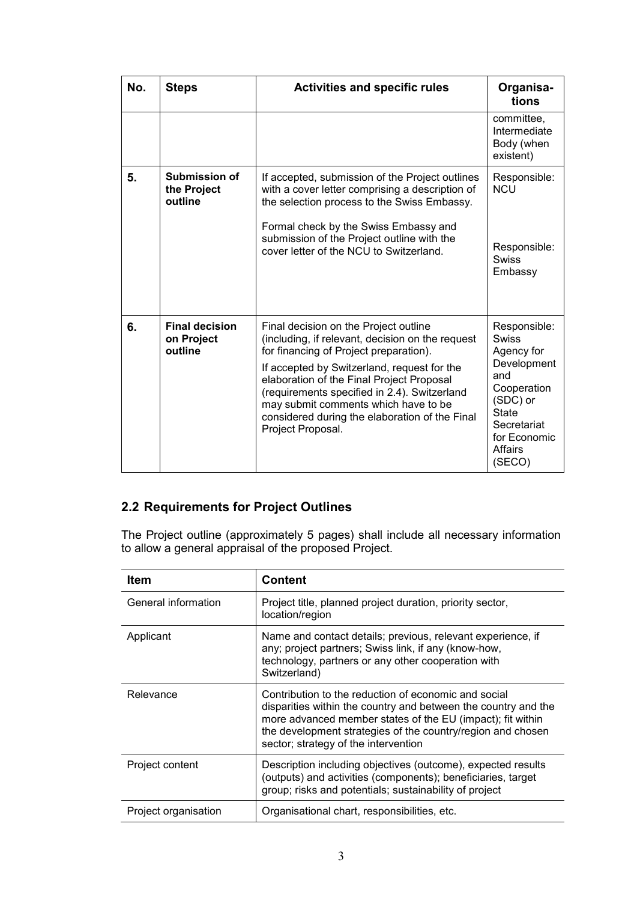| No. | <b>Steps</b>                                   | <b>Activities and specific rules</b>                                                                                                                                                                                                                                                                                                                                                           | Organisa-<br>tions                                                                                                                                                     |
|-----|------------------------------------------------|------------------------------------------------------------------------------------------------------------------------------------------------------------------------------------------------------------------------------------------------------------------------------------------------------------------------------------------------------------------------------------------------|------------------------------------------------------------------------------------------------------------------------------------------------------------------------|
|     |                                                |                                                                                                                                                                                                                                                                                                                                                                                                | committee,<br>Intermediate<br>Body (when<br>existent)                                                                                                                  |
| 5.  | Submission of<br>the Project<br>outline        | If accepted, submission of the Project outlines<br>with a cover letter comprising a description of<br>the selection process to the Swiss Embassy.<br>Formal check by the Swiss Embassy and<br>submission of the Project outline with the<br>cover letter of the NCU to Switzerland.                                                                                                            | Responsible:<br><b>NCU</b><br>Responsible:<br><b>Swiss</b><br>Embassy                                                                                                  |
| 6.  | <b>Final decision</b><br>on Project<br>outline | Final decision on the Project outline<br>(including, if relevant, decision on the request<br>for financing of Project preparation).<br>If accepted by Switzerland, request for the<br>elaboration of the Final Project Proposal<br>(requirements specified in 2.4). Switzerland<br>may submit comments which have to be<br>considered during the elaboration of the Final<br>Project Proposal. | Responsible:<br><b>Swiss</b><br>Agency for<br>Development<br>and<br>Cooperation<br>(SDC) or<br><b>State</b><br>Secretariat<br>for Economic<br><b>Affairs</b><br>(SECO) |

## **2.2 Requirements for Project Outlines**

The Project outline (approximately 5 pages) shall include all necessary information to allow a general appraisal of the proposed Project.

| Item                 | <b>Content</b>                                                                                                                                                                                                                                                                              |
|----------------------|---------------------------------------------------------------------------------------------------------------------------------------------------------------------------------------------------------------------------------------------------------------------------------------------|
| General information  | Project title, planned project duration, priority sector,<br>location/region                                                                                                                                                                                                                |
| Applicant            | Name and contact details; previous, relevant experience, if<br>any; project partners; Swiss link, if any (know-how,<br>technology, partners or any other cooperation with<br>Switzerland)                                                                                                   |
| Relevance            | Contribution to the reduction of economic and social<br>disparities within the country and between the country and the<br>more advanced member states of the EU (impact); fit within<br>the development strategies of the country/region and chosen<br>sector; strategy of the intervention |
| Project content      | Description including objectives (outcome), expected results<br>(outputs) and activities (components); beneficiaries, target<br>group; risks and potentials; sustainability of project                                                                                                      |
| Project organisation | Organisational chart, responsibilities, etc.                                                                                                                                                                                                                                                |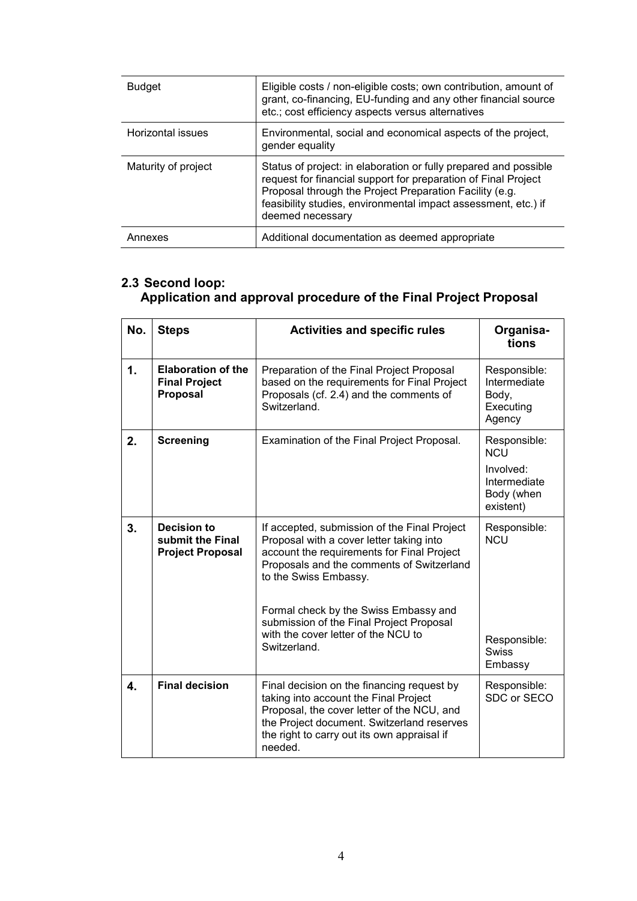| <b>Budget</b>       | Eligible costs / non-eligible costs; own contribution, amount of<br>grant, co-financing, EU-funding and any other financial source<br>etc.; cost efficiency aspects versus alternatives                                                                                             |
|---------------------|-------------------------------------------------------------------------------------------------------------------------------------------------------------------------------------------------------------------------------------------------------------------------------------|
| Horizontal issues   | Environmental, social and economical aspects of the project,<br>gender equality                                                                                                                                                                                                     |
| Maturity of project | Status of project: in elaboration or fully prepared and possible<br>request for financial support for preparation of Final Project<br>Proposal through the Project Preparation Facility (e.g.<br>feasibility studies, environmental impact assessment, etc.) if<br>deemed necessary |
| Annexes             | Additional documentation as deemed appropriate                                                                                                                                                                                                                                      |

### **2.3 Second loop: Application and approval procedure of the Final Project Proposal**

| No. | <b>Steps</b>                                                  | <b>Activities and specific rules</b>                                                                                                                                                                                                      | Organisa-<br>tions                                                                 |
|-----|---------------------------------------------------------------|-------------------------------------------------------------------------------------------------------------------------------------------------------------------------------------------------------------------------------------------|------------------------------------------------------------------------------------|
| 1.  | <b>Elaboration of the</b><br><b>Final Project</b><br>Proposal | Preparation of the Final Project Proposal<br>based on the requirements for Final Project<br>Proposals (cf. 2.4) and the comments of<br>Switzerland.                                                                                       | Responsible:<br>Intermediate<br>Body,<br>Executing<br>Agency                       |
| 2.  | <b>Screening</b>                                              | Examination of the Final Project Proposal.                                                                                                                                                                                                | Responsible:<br><b>NCU</b><br>Involved:<br>Intermediate<br>Body (when<br>existent) |
| 3.  | Decision to<br>submit the Final<br><b>Project Proposal</b>    | If accepted, submission of the Final Project<br>Proposal with a cover letter taking into<br>account the requirements for Final Project<br>Proposals and the comments of Switzerland<br>to the Swiss Embassy.                              | Responsible:<br><b>NCU</b>                                                         |
|     |                                                               | Formal check by the Swiss Embassy and<br>submission of the Final Project Proposal<br>with the cover letter of the NCU to<br>Switzerland.                                                                                                  | Responsible:<br><b>Swiss</b><br>Embassy                                            |
| 4.  | <b>Final decision</b>                                         | Final decision on the financing request by<br>taking into account the Final Project<br>Proposal, the cover letter of the NCU, and<br>the Project document. Switzerland reserves<br>the right to carry out its own appraisal if<br>needed. | Responsible:<br>SDC or SECO                                                        |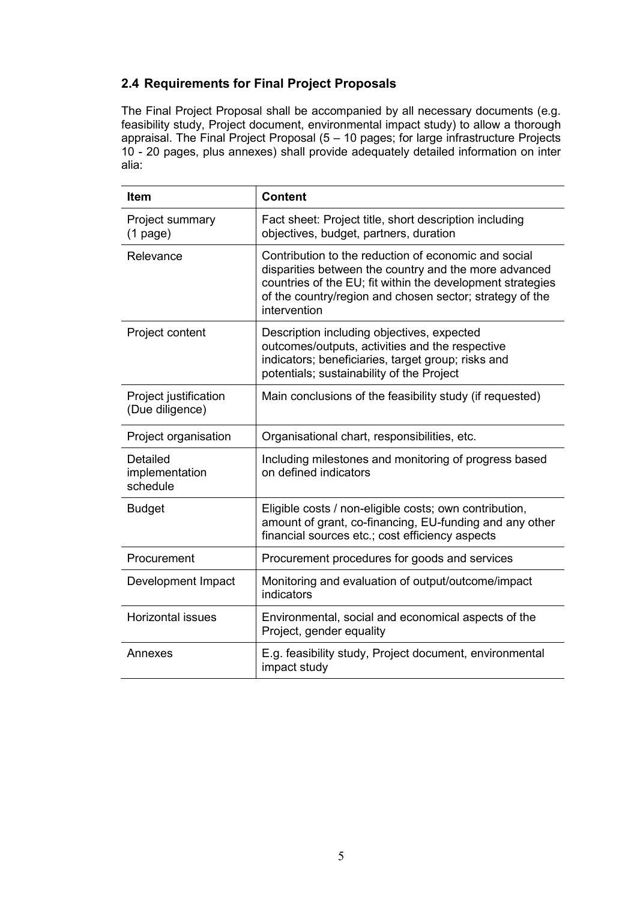### **2.4 Requirements for Final Project Proposals**

The Final Project Proposal shall be accompanied by all necessary documents (e.g. feasibility study, Project document, environmental impact study) to allow a thorough appraisal. The Final Project Proposal (5 – 10 pages; for large infrastructure Projects 10 - 20 pages, plus annexes) shall provide adequately detailed information on inter alia:

| <b>Item</b>                              | <b>Content</b>                                                                                                                                                                                                                                          |
|------------------------------------------|---------------------------------------------------------------------------------------------------------------------------------------------------------------------------------------------------------------------------------------------------------|
| Project summary<br>$(1$ page)            | Fact sheet: Project title, short description including<br>objectives, budget, partners, duration                                                                                                                                                        |
| Relevance                                | Contribution to the reduction of economic and social<br>disparities between the country and the more advanced<br>countries of the EU; fit within the development strategies<br>of the country/region and chosen sector; strategy of the<br>intervention |
| Project content                          | Description including objectives, expected<br>outcomes/outputs, activities and the respective<br>indicators; beneficiaries, target group; risks and<br>potentials; sustainability of the Project                                                        |
| Project justification<br>(Due diligence) | Main conclusions of the feasibility study (if requested)                                                                                                                                                                                                |
| Project organisation                     | Organisational chart, responsibilities, etc.                                                                                                                                                                                                            |
| Detailed<br>implementation<br>schedule   | Including milestones and monitoring of progress based<br>on defined indicators                                                                                                                                                                          |
| <b>Budget</b>                            | Eligible costs / non-eligible costs; own contribution,<br>amount of grant, co-financing, EU-funding and any other<br>financial sources etc.; cost efficiency aspects                                                                                    |
| Procurement                              | Procurement procedures for goods and services                                                                                                                                                                                                           |
| Development Impact                       | Monitoring and evaluation of output/outcome/impact<br>indicators                                                                                                                                                                                        |
| <b>Horizontal issues</b>                 | Environmental, social and economical aspects of the<br>Project, gender equality                                                                                                                                                                         |
| Annexes                                  | E.g. feasibility study, Project document, environmental<br>impact study                                                                                                                                                                                 |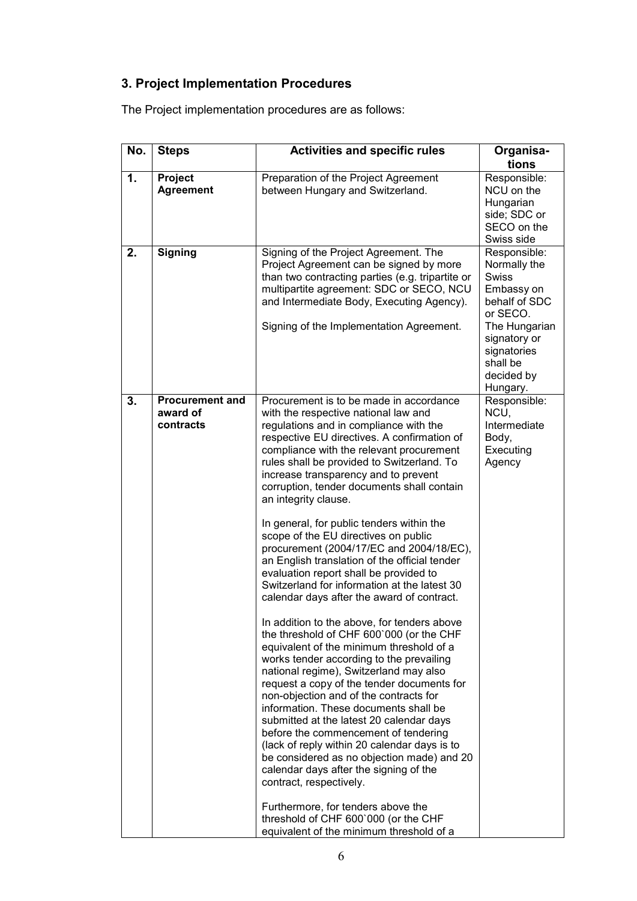# **3. Project Implementation Procedures**

The Project implementation procedures are as follows:

| No. | <b>Steps</b>                                    | <b>Activities and specific rules</b>                                                                                                                                                                                                                                                                                                                                                                                                                                                                                                                                                                                                                                                                                                                                                                                                                                                                                                                                                                                                                                                                                                                                                                                                                                                                                                                                                                                                                      | Organisa-<br>tions                                                                                                                                                            |
|-----|-------------------------------------------------|-----------------------------------------------------------------------------------------------------------------------------------------------------------------------------------------------------------------------------------------------------------------------------------------------------------------------------------------------------------------------------------------------------------------------------------------------------------------------------------------------------------------------------------------------------------------------------------------------------------------------------------------------------------------------------------------------------------------------------------------------------------------------------------------------------------------------------------------------------------------------------------------------------------------------------------------------------------------------------------------------------------------------------------------------------------------------------------------------------------------------------------------------------------------------------------------------------------------------------------------------------------------------------------------------------------------------------------------------------------------------------------------------------------------------------------------------------------|-------------------------------------------------------------------------------------------------------------------------------------------------------------------------------|
| 1.  | Project<br><b>Agreement</b>                     | Preparation of the Project Agreement<br>between Hungary and Switzerland.                                                                                                                                                                                                                                                                                                                                                                                                                                                                                                                                                                                                                                                                                                                                                                                                                                                                                                                                                                                                                                                                                                                                                                                                                                                                                                                                                                                  | Responsible:<br>NCU on the<br>Hungarian<br>side; SDC or<br>SECO on the<br>Swiss side                                                                                          |
| 2.  | <b>Signing</b>                                  | Signing of the Project Agreement. The<br>Project Agreement can be signed by more<br>than two contracting parties (e.g. tripartite or<br>multipartite agreement: SDC or SECO, NCU<br>and Intermediate Body, Executing Agency).<br>Signing of the Implementation Agreement.                                                                                                                                                                                                                                                                                                                                                                                                                                                                                                                                                                                                                                                                                                                                                                                                                                                                                                                                                                                                                                                                                                                                                                                 | Responsible:<br>Normally the<br><b>Swiss</b><br>Embassy on<br>behalf of SDC<br>or SECO.<br>The Hungarian<br>signatory or<br>signatories<br>shall be<br>decided by<br>Hungary. |
| 3.  | <b>Procurement and</b><br>award of<br>contracts | Procurement is to be made in accordance<br>with the respective national law and<br>regulations and in compliance with the<br>respective EU directives. A confirmation of<br>compliance with the relevant procurement<br>rules shall be provided to Switzerland. To<br>increase transparency and to prevent<br>corruption, tender documents shall contain<br>an integrity clause.<br>In general, for public tenders within the<br>scope of the EU directives on public<br>procurement (2004/17/EC and 2004/18/EC),<br>an English translation of the official tender<br>evaluation report shall be provided to<br>Switzerland for information at the latest 30<br>calendar days after the award of contract.<br>In addition to the above, for tenders above<br>the threshold of CHF 600'000 (or the CHF<br>equivalent of the minimum threshold of a<br>works tender according to the prevailing<br>national regime), Switzerland may also<br>request a copy of the tender documents for<br>non-objection and of the contracts for<br>information. These documents shall be<br>submitted at the latest 20 calendar days<br>before the commencement of tendering<br>(lack of reply within 20 calendar days is to<br>be considered as no objection made) and 20<br>calendar days after the signing of the<br>contract, respectively.<br>Furthermore, for tenders above the<br>threshold of CHF 600'000 (or the CHF<br>equivalent of the minimum threshold of a | Responsible:<br>NCU,<br>Intermediate<br>Body,<br>Executing<br>Agency                                                                                                          |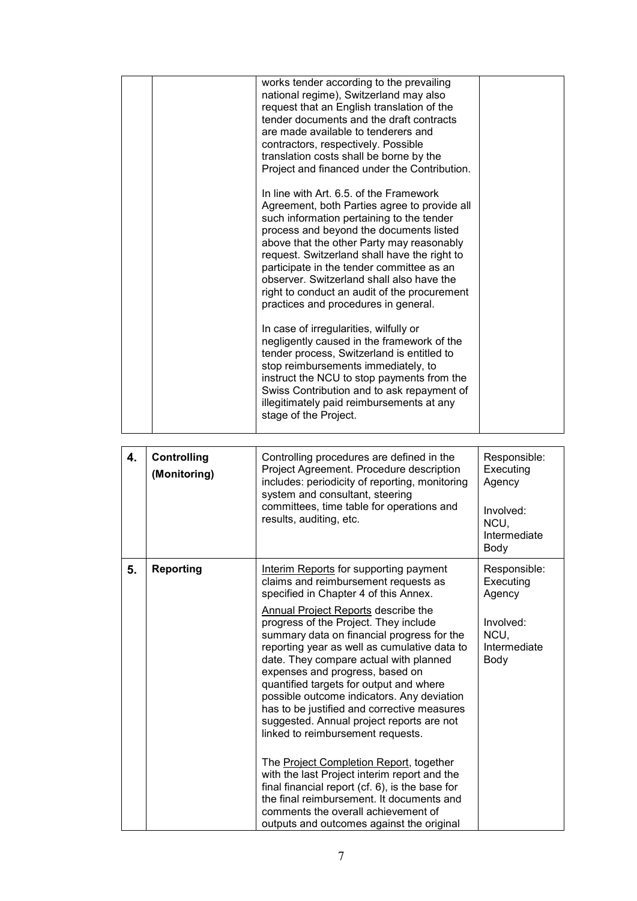|    |                             | works tender according to the prevailing<br>national regime), Switzerland may also<br>request that an English translation of the<br>tender documents and the draft contracts<br>are made available to tenderers and<br>contractors, respectively. Possible<br>translation costs shall be borne by the<br>Project and financed under the Contribution.<br>In line with Art. 6.5, of the Framework<br>Agreement, both Parties agree to provide all<br>such information pertaining to the tender<br>process and beyond the documents listed<br>above that the other Party may reasonably<br>request. Switzerland shall have the right to<br>participate in the tender committee as an<br>observer. Switzerland shall also have the<br>right to conduct an audit of the procurement<br>practices and procedures in general.<br>In case of irregularities, wilfully or<br>negligently caused in the framework of the<br>tender process, Switzerland is entitled to<br>stop reimbursements immediately, to<br>instruct the NCU to stop payments from the<br>Swiss Contribution and to ask repayment of<br>illegitimately paid reimbursements at any<br>stage of the Project. |                                                                                  |
|----|-----------------------------|------------------------------------------------------------------------------------------------------------------------------------------------------------------------------------------------------------------------------------------------------------------------------------------------------------------------------------------------------------------------------------------------------------------------------------------------------------------------------------------------------------------------------------------------------------------------------------------------------------------------------------------------------------------------------------------------------------------------------------------------------------------------------------------------------------------------------------------------------------------------------------------------------------------------------------------------------------------------------------------------------------------------------------------------------------------------------------------------------------------------------------------------------------------------|----------------------------------------------------------------------------------|
| 4. | Controlling<br>(Monitoring) | Controlling procedures are defined in the<br>Project Agreement. Procedure description<br>includes: periodicity of reporting, monitoring<br>system and consultant, steering<br>committees, time table for operations and<br>results, auditing, etc.                                                                                                                                                                                                                                                                                                                                                                                                                                                                                                                                                                                                                                                                                                                                                                                                                                                                                                                     | Responsible:<br>Executing<br>Agency<br>Involved:<br>NCU,<br>Intermediate<br>Body |
| 5. | <b>Reporting</b>            | Interim Reports for supporting payment<br>claims and reimbursement requests as<br>specified in Chapter 4 of this Annex.<br>Annual Project Reports describe the<br>progress of the Project. They include<br>summary data on financial progress for the<br>reporting year as well as cumulative data to<br>date. They compare actual with planned<br>expenses and progress, based on<br>quantified targets for output and where<br>possible outcome indicators. Any deviation<br>has to be justified and corrective measures<br>suggested. Annual project reports are not<br>linked to reimbursement requests.<br>The Project Completion Report, together<br>with the last Project interim report and the<br>final financial report $(cf. 6)$ , is the base for<br>the final reimbursement. It documents and<br>comments the overall achievement of<br>outputs and outcomes against the original                                                                                                                                                                                                                                                                         | Responsible:<br>Executing<br>Agency<br>Involved:<br>NCU,<br>Intermediate<br>Body |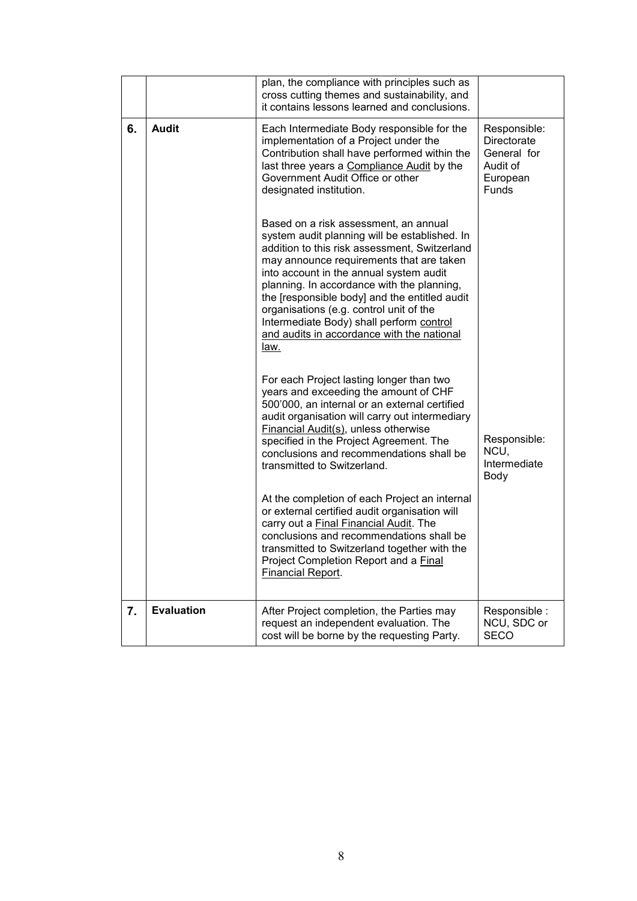|    |                   | plan, the compliance with principles such as<br>cross cutting themes and sustainability, and<br>it contains lessons learned and conclusions.                                                                                                                                                                                                                                                                                                                               |                                                                                           |
|----|-------------------|----------------------------------------------------------------------------------------------------------------------------------------------------------------------------------------------------------------------------------------------------------------------------------------------------------------------------------------------------------------------------------------------------------------------------------------------------------------------------|-------------------------------------------------------------------------------------------|
| 6. | <b>Audit</b>      | Each Intermediate Body responsible for the<br>implementation of a Project under the<br>Contribution shall have performed within the<br>last three years a Compliance Audit by the<br>Government Audit Office or other<br>designated institution.                                                                                                                                                                                                                           | Responsible:<br><b>Directorate</b><br>General for<br>Audit of<br>European<br><b>Funds</b> |
|    |                   | Based on a risk assessment, an annual<br>system audit planning will be established. In<br>addition to this risk assessment, Switzerland<br>may announce requirements that are taken<br>into account in the annual system audit<br>planning. In accordance with the planning,<br>the [responsible body] and the entitled audit<br>organisations (e.g. control unit of the<br>Intermediate Body) shall perform control<br>and audits in accordance with the national<br>law. |                                                                                           |
|    |                   | For each Project lasting longer than two<br>years and exceeding the amount of CHF<br>500'000, an internal or an external certified<br>audit organisation will carry out intermediary<br><b>Financial Audit(s), unless otherwise</b><br>specified in the Project Agreement. The<br>conclusions and recommendations shall be<br>transmitted to Switzerland.<br>At the completion of each Project an internal<br>or external certified audit organisation will                | Responsible:<br>NCU,<br>Intermediate<br>Body                                              |
|    |                   | carry out a Final Financial Audit. The<br>conclusions and recommendations shall be<br>transmitted to Switzerland together with the<br>Project Completion Report and a Final<br>Financial Report.                                                                                                                                                                                                                                                                           |                                                                                           |
| 7. | <b>Evaluation</b> | After Project completion, the Parties may<br>request an independent evaluation. The<br>cost will be borne by the requesting Party.                                                                                                                                                                                                                                                                                                                                         | Responsible :<br>NCU, SDC or<br><b>SECO</b>                                               |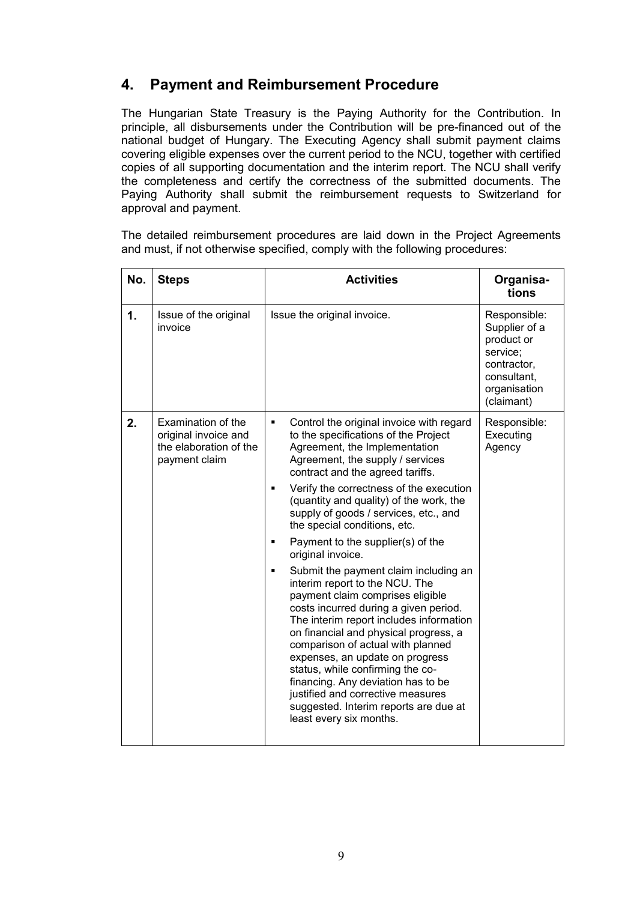# **4. Payment and Reimbursement Procedure**

The Hungarian State Treasury is the Paying Authority for the Contribution. In principle, all disbursements under the Contribution will be pre-financed out of the national budget of Hungary. The Executing Agency shall submit payment claims covering eligible expenses over the current period to the NCU, together with certified copies of all supporting documentation and the interim report. The NCU shall verify the completeness and certify the correctness of the submitted documents. The Paying Authority shall submit the reimbursement requests to Switzerland for approval and payment.

The detailed reimbursement procedures are laid down in the Project Agreements and must, if not otherwise specified, comply with the following procedures:

| No. | <b>Steps</b>                                                                          | <b>Activities</b>                                                                                                                                                                                                                                                                                                                                                                                                                                                                                                                                                                                                                                                                                                                                                                                                                                                                                                                                                                    | Organisa-<br>tions                                                                                                  |
|-----|---------------------------------------------------------------------------------------|--------------------------------------------------------------------------------------------------------------------------------------------------------------------------------------------------------------------------------------------------------------------------------------------------------------------------------------------------------------------------------------------------------------------------------------------------------------------------------------------------------------------------------------------------------------------------------------------------------------------------------------------------------------------------------------------------------------------------------------------------------------------------------------------------------------------------------------------------------------------------------------------------------------------------------------------------------------------------------------|---------------------------------------------------------------------------------------------------------------------|
| 1.  | Issue of the original<br>invoice                                                      | Issue the original invoice.                                                                                                                                                                                                                                                                                                                                                                                                                                                                                                                                                                                                                                                                                                                                                                                                                                                                                                                                                          | Responsible:<br>Supplier of a<br>product or<br>service;<br>contractor,<br>consultant,<br>organisation<br>(claimant) |
| 2.  | Examination of the<br>original invoice and<br>the elaboration of the<br>payment claim | Control the original invoice with regard<br>$\blacksquare$<br>to the specifications of the Project<br>Agreement, the Implementation<br>Agreement, the supply / services<br>contract and the agreed tariffs.<br>Verify the correctness of the execution<br>٠<br>(quantity and quality) of the work, the<br>supply of goods / services, etc., and<br>the special conditions, etc.<br>Payment to the supplier(s) of the<br>$\blacksquare$<br>original invoice.<br>Submit the payment claim including an<br>$\blacksquare$<br>interim report to the NCU. The<br>payment claim comprises eligible<br>costs incurred during a given period.<br>The interim report includes information<br>on financial and physical progress, a<br>comparison of actual with planned<br>expenses, an update on progress<br>status, while confirming the co-<br>financing. Any deviation has to be<br>justified and corrective measures<br>suggested. Interim reports are due at<br>least every six months. | Responsible:<br>Executing<br>Agency                                                                                 |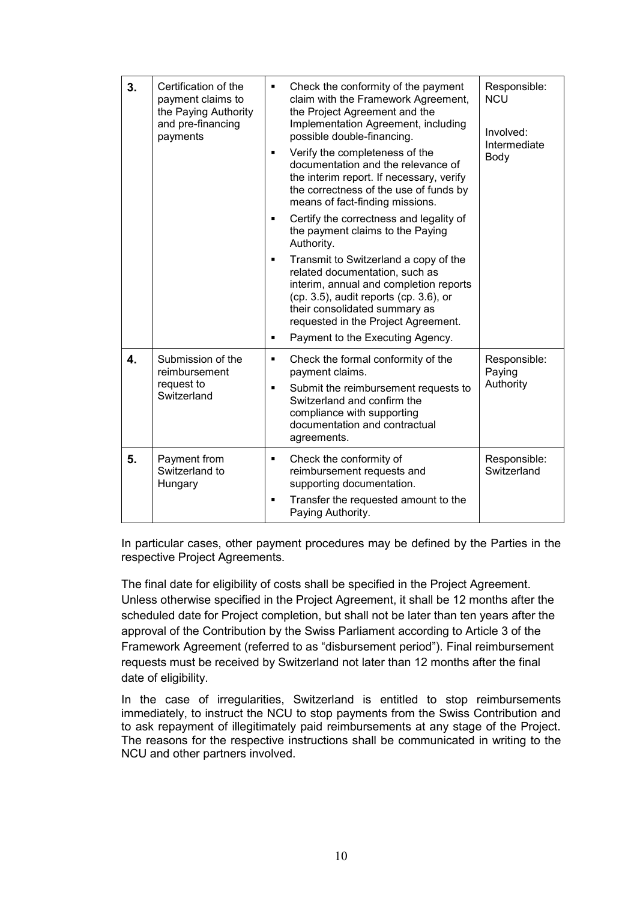| 3. | Certification of the<br>payment claims to<br>the Paying Authority<br>and pre-financing<br>payments | Check the conformity of the payment<br>٠<br>claim with the Framework Agreement,<br>the Project Agreement and the<br>Implementation Agreement, including<br>possible double-financing.<br>Verify the completeness of the<br>٠<br>documentation and the relevance of<br>the interim report. If necessary, verify<br>the correctness of the use of funds by<br>means of fact-finding missions.<br>Certify the correctness and legality of<br>٠<br>the payment claims to the Paying<br>Authority.<br>Transmit to Switzerland a copy of the<br>٠<br>related documentation, such as<br>interim, annual and completion reports<br>(cp. 3.5), audit reports (cp. 3.6), or<br>their consolidated summary as<br>requested in the Project Agreement.<br>Payment to the Executing Agency.<br>٠ | Responsible:<br><b>NCU</b><br>Involved:<br>Intermediate<br>Body |
|----|----------------------------------------------------------------------------------------------------|------------------------------------------------------------------------------------------------------------------------------------------------------------------------------------------------------------------------------------------------------------------------------------------------------------------------------------------------------------------------------------------------------------------------------------------------------------------------------------------------------------------------------------------------------------------------------------------------------------------------------------------------------------------------------------------------------------------------------------------------------------------------------------|-----------------------------------------------------------------|
| 4. | Submission of the<br>reimbursement<br>request to<br>Switzerland                                    | Check the formal conformity of the<br>×,<br>payment claims.<br>Submit the reimbursement requests to<br>٠<br>Switzerland and confirm the<br>compliance with supporting<br>documentation and contractual<br>agreements.                                                                                                                                                                                                                                                                                                                                                                                                                                                                                                                                                              | Responsible:<br>Paying<br>Authority                             |
| 5. | Payment from<br>Switzerland to<br>Hungary                                                          | Check the conformity of<br>٠<br>reimbursement requests and<br>supporting documentation.<br>Transfer the requested amount to the<br>×,<br>Paying Authority.                                                                                                                                                                                                                                                                                                                                                                                                                                                                                                                                                                                                                         | Responsible:<br>Switzerland                                     |

In particular cases, other payment procedures may be defined by the Parties in the respective Project Agreements.

The final date for eligibility of costs shall be specified in the Project Agreement. Unless otherwise specified in the Project Agreement, it shall be 12 months after the scheduled date for Project completion, but shall not be later than ten years after the approval of the Contribution by the Swiss Parliament according to Article 3 of the Framework Agreement (referred to as "disbursement period"). Final reimbursement requests must be received by Switzerland not later than 12 months after the final date of eligibility.

In the case of irregularities, Switzerland is entitled to stop reimbursements immediately, to instruct the NCU to stop payments from the Swiss Contribution and to ask repayment of illegitimately paid reimbursements at any stage of the Project. The reasons for the respective instructions shall be communicated in writing to the NCU and other partners involved.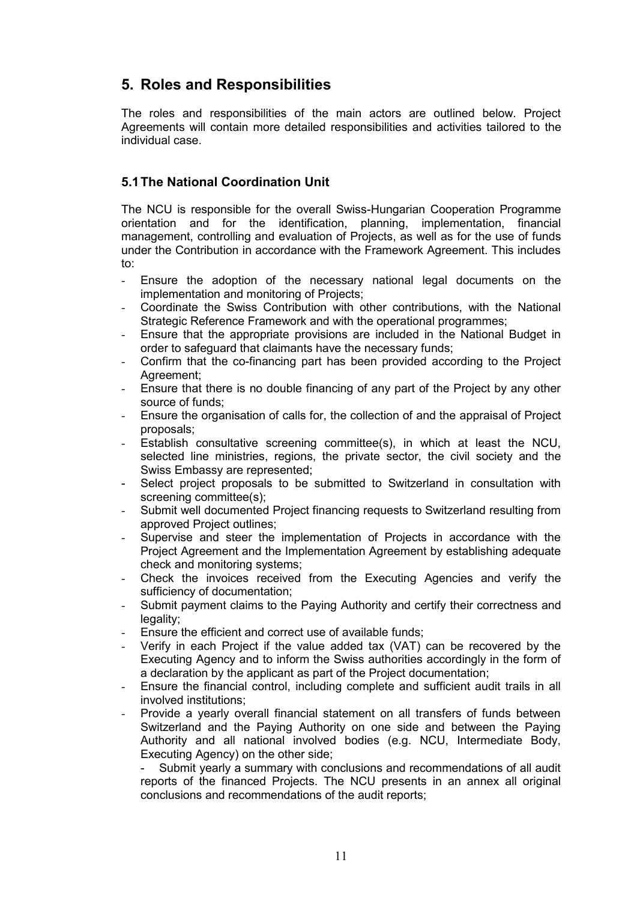# **5. Roles and Responsibilities**

The roles and responsibilities of the main actors are outlined below. Project Agreements will contain more detailed responsibilities and activities tailored to the individual case.

### **5.1The National Coordination Unit**

The NCU is responsible for the overall Swiss-Hungarian Cooperation Programme orientation and for the identification, planning, implementation, financial management, controlling and evaluation of Projects, as well as for the use of funds under the Contribution in accordance with the Framework Agreement. This includes to:

- Ensure the adoption of the necessary national legal documents on the implementation and monitoring of Projects;
- Coordinate the Swiss Contribution with other contributions, with the National Strategic Reference Framework and with the operational programmes;
- Ensure that the appropriate provisions are included in the National Budget in order to safeguard that claimants have the necessary funds;
- Confirm that the co-financing part has been provided according to the Project Agreement;
- Ensure that there is no double financing of any part of the Project by any other source of funds;
- Ensure the organisation of calls for, the collection of and the appraisal of Project proposals;
- Establish consultative screening committee(s), in which at least the NCU, selected line ministries, regions, the private sector, the civil society and the Swiss Embassy are represented;
- Select project proposals to be submitted to Switzerland in consultation with screening committee(s);
- Submit well documented Project financing requests to Switzerland resulting from approved Project outlines;
- Supervise and steer the implementation of Projects in accordance with the Project Agreement and the Implementation Agreement by establishing adequate check and monitoring systems;
- Check the invoices received from the Executing Agencies and verify the sufficiency of documentation;
- Submit payment claims to the Paying Authority and certify their correctness and legality:
- Ensure the efficient and correct use of available funds;
- Verify in each Project if the value added tax (VAT) can be recovered by the Executing Agency and to inform the Swiss authorities accordingly in the form of a declaration by the applicant as part of the Project documentation;
- Ensure the financial control, including complete and sufficient audit trails in all involved institutions;
- Provide a yearly overall financial statement on all transfers of funds between Switzerland and the Paying Authority on one side and between the Paying Authority and all national involved bodies (e.g. NCU, Intermediate Body, Executing Agency) on the other side;

Submit yearly a summary with conclusions and recommendations of all audit reports of the financed Projects. The NCU presents in an annex all original conclusions and recommendations of the audit reports;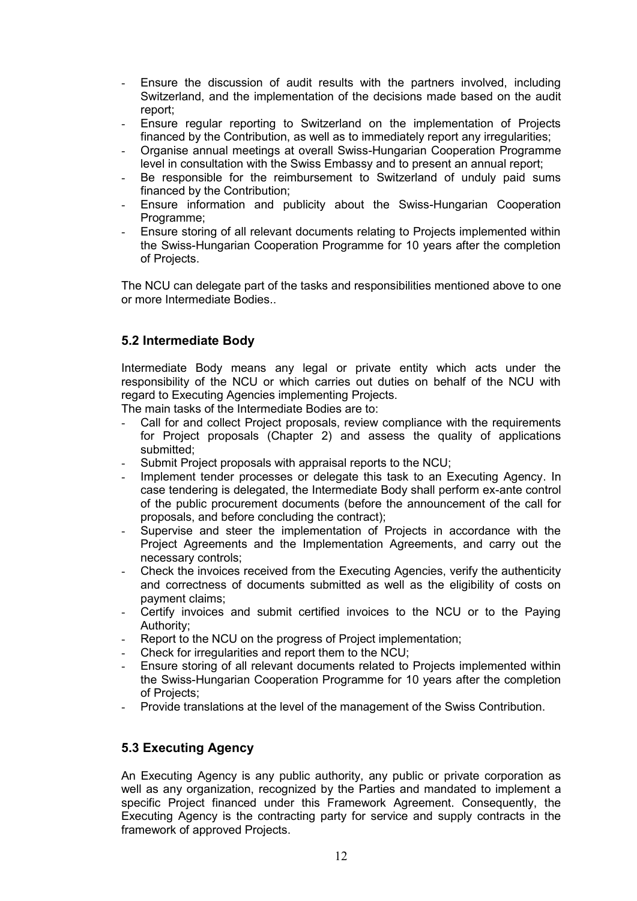- Ensure the discussion of audit results with the partners involved, including Switzerland, and the implementation of the decisions made based on the audit report;
- Ensure regular reporting to Switzerland on the implementation of Projects financed by the Contribution, as well as to immediately report any irregularities;
- Organise annual meetings at overall Swiss-Hungarian Cooperation Programme level in consultation with the Swiss Embassy and to present an annual report;
- Be responsible for the reimbursement to Switzerland of unduly paid sums financed by the Contribution;
- Ensure information and publicity about the Swiss-Hungarian Cooperation Programme;
- Ensure storing of all relevant documents relating to Projects implemented within the Swiss-Hungarian Cooperation Programme for 10 years after the completion of Projects.

The NCU can delegate part of the tasks and responsibilities mentioned above to one or more Intermediate Bodies..

### **5.2 Intermediate Body**

Intermediate Body means any legal or private entity which acts under the responsibility of the NCU or which carries out duties on behalf of the NCU with regard to Executing Agencies implementing Projects.

The main tasks of the Intermediate Bodies are to:

- Call for and collect Project proposals, review compliance with the requirements for Project proposals (Chapter 2) and assess the quality of applications submitted;
- Submit Project proposals with appraisal reports to the NCU;
- Implement tender processes or delegate this task to an Executing Agency. In case tendering is delegated, the Intermediate Body shall perform ex-ante control of the public procurement documents (before the announcement of the call for proposals, and before concluding the contract);
- Supervise and steer the implementation of Projects in accordance with the Project Agreements and the Implementation Agreements, and carry out the necessary controls;
- Check the invoices received from the Executing Agencies, verify the authenticity and correctness of documents submitted as well as the eligibility of costs on payment claims;
- Certify invoices and submit certified invoices to the NCU or to the Paying Authority;
- Report to the NCU on the progress of Project implementation:
- Check for irregularities and report them to the NCU:
- Ensure storing of all relevant documents related to Projects implemented within the Swiss-Hungarian Cooperation Programme for 10 years after the completion of Projects;
- Provide translations at the level of the management of the Swiss Contribution.

### **5.3 Executing Agency**

An Executing Agency is any public authority, any public or private corporation as well as any organization, recognized by the Parties and mandated to implement a specific Project financed under this Framework Agreement. Consequently, the Executing Agency is the contracting party for service and supply contracts in the framework of approved Projects.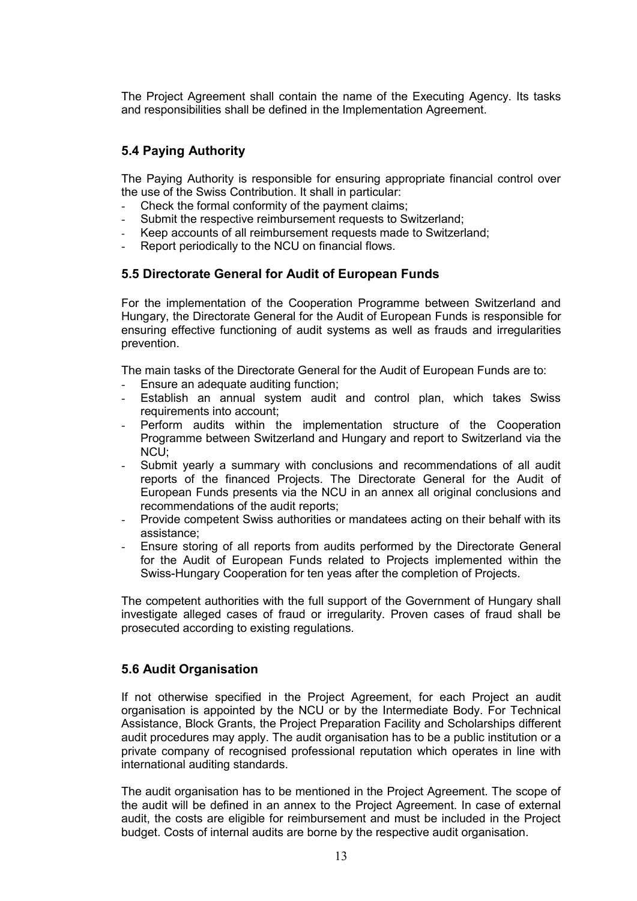The Project Agreement shall contain the name of the Executing Agency. Its tasks and responsibilities shall be defined in the Implementation Agreement.

### **5.4 Paying Authority**

The Paying Authority is responsible for ensuring appropriate financial control over the use of the Swiss Contribution. It shall in particular:

- Check the formal conformity of the payment claims;
- Submit the respective reimbursement requests to Switzerland:
- Keep accounts of all reimbursement requests made to Switzerland:
- Report periodically to the NCU on financial flows.

### **5.5 Directorate General for Audit of European Funds**

For the implementation of the Cooperation Programme between Switzerland and Hungary, the Directorate General for the Audit of European Funds is responsible for ensuring effective functioning of audit systems as well as frauds and irregularities prevention.

The main tasks of the Directorate General for the Audit of European Funds are to:

- Ensure an adequate auditing function;
- Establish an annual system audit and control plan, which takes Swiss requirements into account;
- Perform audits within the implementation structure of the Cooperation Programme between Switzerland and Hungary and report to Switzerland via the NCU;
- Submit yearly a summary with conclusions and recommendations of all audit reports of the financed Projects. The Directorate General for the Audit of European Funds presents via the NCU in an annex all original conclusions and recommendations of the audit reports;
- Provide competent Swiss authorities or mandatees acting on their behalf with its assistance;
- Ensure storing of all reports from audits performed by the Directorate General for the Audit of European Funds related to Projects implemented within the Swiss-Hungary Cooperation for ten yeas after the completion of Projects.

The competent authorities with the full support of the Government of Hungary shall investigate alleged cases of fraud or irregularity. Proven cases of fraud shall be prosecuted according to existing regulations.

#### **5.6 Audit Organisation**

If not otherwise specified in the Project Agreement, for each Project an audit organisation is appointed by the NCU or by the Intermediate Body. For Technical Assistance, Block Grants, the Project Preparation Facility and Scholarships different audit procedures may apply. The audit organisation has to be a public institution or a private company of recognised professional reputation which operates in line with international auditing standards.

The audit organisation has to be mentioned in the Project Agreement. The scope of the audit will be defined in an annex to the Project Agreement. In case of external audit, the costs are eligible for reimbursement and must be included in the Project budget. Costs of internal audits are borne by the respective audit organisation.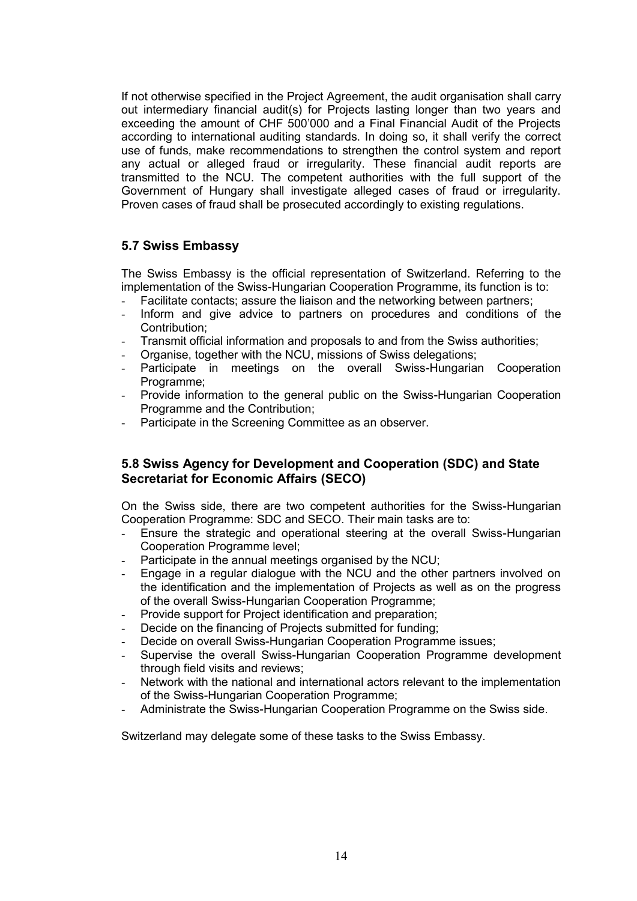If not otherwise specified in the Project Agreement, the audit organisation shall carry out intermediary financial audit(s) for Projects lasting longer than two years and exceeding the amount of CHF 500'000 and a Final Financial Audit of the Projects according to international auditing standards. In doing so, it shall verify the correct use of funds, make recommendations to strengthen the control system and report any actual or alleged fraud or irregularity. These financial audit reports are transmitted to the NCU. The competent authorities with the full support of the Government of Hungary shall investigate alleged cases of fraud or irregularity. Proven cases of fraud shall be prosecuted accordingly to existing regulations.

### **5.7 Swiss Embassy**

The Swiss Embassy is the official representation of Switzerland. Referring to the implementation of the Swiss-Hungarian Cooperation Programme, its function is to:

- Facilitate contacts; assure the liaison and the networking between partners;
- Inform and give advice to partners on procedures and conditions of the Contribution;
- Transmit official information and proposals to and from the Swiss authorities;
- Organise, together with the NCU, missions of Swiss delegations;
- Participate in meetings on the overall Swiss-Hungarian Cooperation Programme;
- Provide information to the general public on the Swiss-Hungarian Cooperation Programme and the Contribution;
- Participate in the Screening Committee as an observer.

#### **5.8 Swiss Agency for Development and Cooperation (SDC) and State Secretariat for Economic Affairs (SECO)**

On the Swiss side, there are two competent authorities for the Swiss-Hungarian Cooperation Programme: SDC and SECO. Their main tasks are to:

- Ensure the strategic and operational steering at the overall Swiss-Hungarian Cooperation Programme level;
- Participate in the annual meetings organised by the NCU;
- Engage in a regular dialogue with the NCU and the other partners involved on the identification and the implementation of Projects as well as on the progress of the overall Swiss-Hungarian Cooperation Programme;
- Provide support for Project identification and preparation;
- Decide on the financing of Projects submitted for funding;
- Decide on overall Swiss-Hungarian Cooperation Programme issues;
- Supervise the overall Swiss-Hungarian Cooperation Programme development through field visits and reviews;
- Network with the national and international actors relevant to the implementation of the Swiss-Hungarian Cooperation Programme;
- Administrate the Swiss-Hungarian Cooperation Programme on the Swiss side.

Switzerland may delegate some of these tasks to the Swiss Embassy.